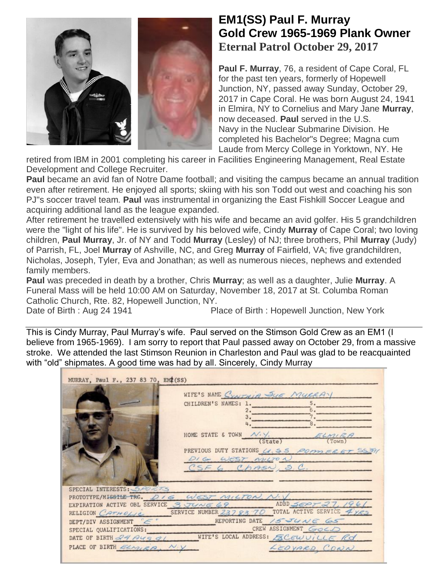

## **EM1(SS) Paul F. Murray Gold Crew 1965-1969 Plank Owner Eternal Patrol October 29, 2017**

**Paul F. Murray**, 76, a resident of Cape Coral, FL for the past ten years, formerly of Hopewell Junction, NY, passed away Sunday, October 29, 2017 in Cape Coral. He was born August 24, 1941 in Elmira, NY to Cornelius and Mary Jane **Murray**, now deceased. **Paul** served in the U.S. Navy in the Nuclear Submarine Division. He completed his Bachelor"s Degree; Magna cum Laude from Mercy College in Yorktown, NY. He

retired from IBM in 2001 completing his career in Facilities Engineering Management, Real Estate Development and College Recruiter.

**Paul** became an avid fan of Notre Dame football; and visiting the campus became an annual tradition even after retirement. He enjoyed all sports; skiing with his son Todd out west and coaching his son PJ"s soccer travel team. **Paul** was instrumental in organizing the East Fishkill Soccer League and acquiring additional land as the league expanded.

After retirement he travelled extensively with his wife and became an avid golfer. His 5 grandchildren were the "light of his life". He is survived by his beloved wife, Cindy **Murray** of Cape Coral; two loving children, **Paul Murray**, Jr. of NY and Todd **Murray** (Lesley) of NJ; three brothers, Phil **Murray** (Judy) of Parrish, FL, Joel **Murray** of Ashville, NC, and Greg **Murray** of Fairfield, VA; five grandchildren, Nicholas, Joseph, Tyler, Eva and Jonathan; as well as numerous nieces, nephews and extended family members.

**Paul** was preceded in death by a brother, Chris **Murray**; as well as a daughter, Julie **Murray**. A Funeral Mass will be held 10:00 AM on Saturday, November 18, 2017 at St. Columba Roman Catholic Church, Rte. 82, Hopewell Junction, NY.

Date of Birth : Aug 24 1941 Place of Birth : [Hopewell Junction,](https://www.afterlife.co/us/obituary-city-hopewell-junction-82002) [New York](https://www.afterlife.co/us/obituary-state-new-york-57)

This is Cindy Murray, Paul Murray's wife. Paul served on the Stimson Gold Crew as an EM1 (I believe from 1965-1969). I am sorry to report that Paul passed away on October 29, from a massive stroke. We attended the last Stimson Reunion in Charleston and Paul was glad to be reacquainted with "old" shipmates. A good time was had by all. Sincerely, Cindy Murray